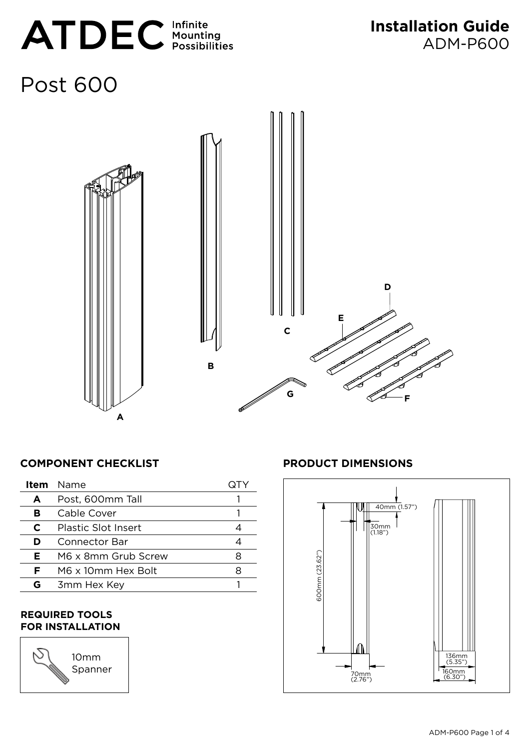

# Post 600



# **COMPONENT CHECKLIST PRODUCT DIMENSIONS**

|   | <b>Item</b> Name           |   |
|---|----------------------------|---|
| A | Post, 600mm Tall           |   |
| в | Cable Cover                |   |
| C | <b>Plastic Slot Insert</b> |   |
| D | Connector Bar              |   |
| Е | M6 x 8mm Grub Screw        | x |
| F | M6 x 10mm Hex Bolt         |   |
| G | 3mm Hex Key                |   |
|   |                            |   |

#### **Required Tools for Installation**

10mm Spanner

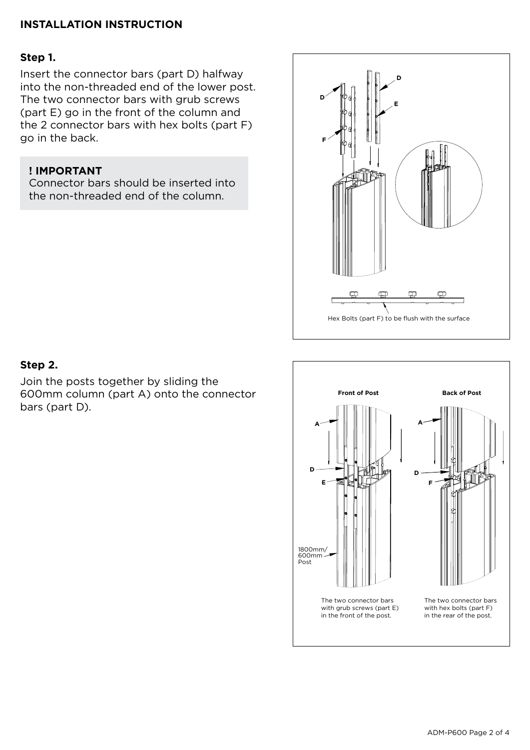# **INSTALLATION INSTRUCTION**

#### **Step 1.**

Insert the connector bars (part D) halfway into the non-threaded end of the lower post. The two connector bars with grub screws (part E) go in the front of the column and the 2 connector bars with hex bolts (part F) go in the back.

### **! IMPORTANT**

Connector bars should be inserted into the non-threaded end of the column.



# **Step 2.**

Join the posts together by sliding the 600mm column (part A) onto the connector bars (part D).

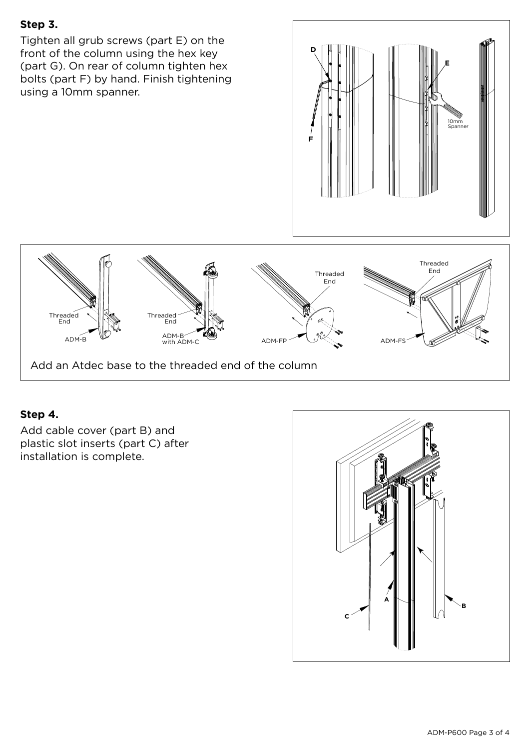# **Step 3.**

Tighten all grub screws (part E) on the front of the column using the hex key (part G). On rear of column tighten hex bolts (part F) by hand. Finish tightening using a 10mm spanner.





# **Step 4.**

Add cable cover (part B) and plastic slot inserts (part C) after installation is complete.